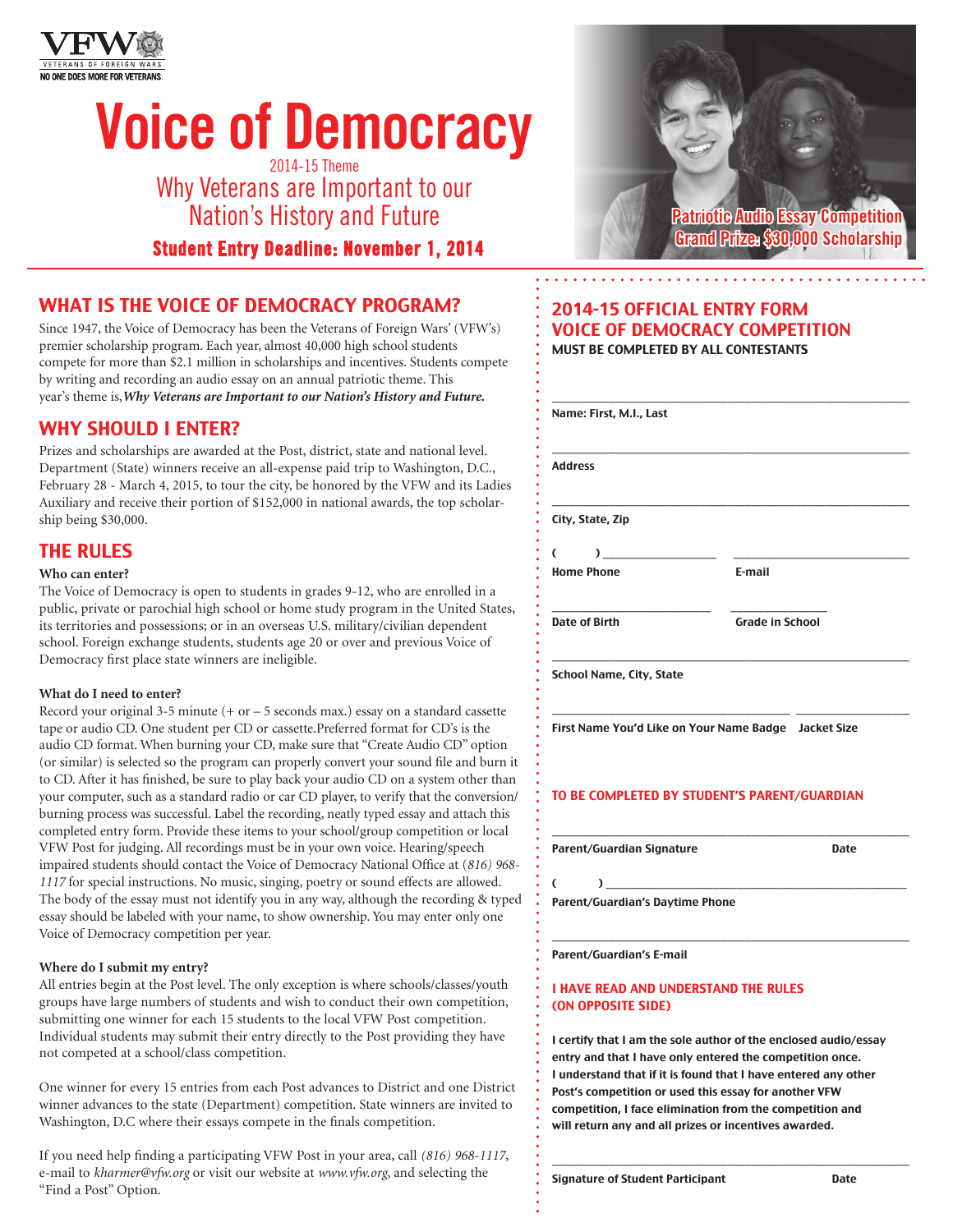

# Voice of Democracy

2014-15 Theme Why Veterans are Important to our Nation's History and Future

Student Entry Deadline: November 1, 2014

## WHAT IS THE VOICE OF DEMOCRACY PROGRAM?

Since 1947, the Voice of Democracy has been the Veterans of Foreign Wars' (VFW's) premier scholarship program. Each year, almost 40,000 high school students compete for more than \$2.1 million in scholarships and incentives. Students compete by writing and recording an audio essay on an annual patriotic theme. This year's theme is,*Why Veterans are Important to our Nation's History and Future.*

## WHY SHOULD I ENTER?

Prizes and scholarships are awarded at the Post, district, state and national level. Department (State) winners receive an all-expense paid trip to Washington, D.C., February 28 - March 4, 2015, to tour the city, be honored by the VFW and its Ladies Auxiliary and receive their portion of \$152,000 in national awards, the top scholarship being \$30,000.

## THE RULES

#### **Who can enter?**

The Voice of Democracy is open to students in grades 9-12, who are enrolled in a public, private or parochial high school or home study program in the United States, its territories and possessions; or in an overseas U.S. military/civilian dependent school. Foreign exchange students, students age 20 or over and previous Voice of Democracy first place state winners are ineligible.

#### **What do I need to enter?**

Record your original 3-5 minute (+ or – 5 seconds max.) essay on a standard cassette tape or audio CD. One student per CD or cassette.Preferred format for CD's is the audio CD format. When burning your CD, make sure that "Create Audio CD" option (or similar) is selected so the program can properly convert your sound file and burn it to CD. After it has finished, be sure to play back your audio CD on a system other than your computer, such as a standard radio or car CD player, to verify that the conversion/ burning process was successful. Label the recording, neatly typed essay and attach this completed entry form. Provide these items to your school/group competition or local VFW Post for judging. All recordings must be in your own voice. Hearing/speech impaired students should contact the Voice of Democracy National Office at (*816) 968- 1117* for special instructions. No music, singing, poetry or sound effects are allowed. The body of the essay must not identify you in any way, although the recording & typed essay should be labeled with your name, to show ownership. You may enter only one Voice of Democracy competition per year.

#### **Where do I submit my entry?**

All entries begin at the Post level. The only exception is where schools/classes/youth groups have large numbers of students and wish to conduct their own competition, submitting one winner for each 15 students to the local VFW Post competition. Individual students may submit their entry directly to the Post providing they have not competed at a school/class competition.

One winner for every 15 entries from each Post advances to District and one District winner advances to the state (Department) competition. State winners are invited to Washington, D.C where their essays compete in the finals competition.

If you need help finding a participating VFW Post in your area, call *(816) 968-1117*, e-mail to *kharmer@vfw.org* or visit our website at *www.vfw.org*, and selecting the "Find a Post" Option.



#### 2014-15 OFFICIAL ENTRY FORM VOICE OF DEMOCRACY COMPETITION MUST BE COMPLETED BY ALL CONTESTANTS

| Name: First, M.I., Last              |                        |  |  |
|--------------------------------------|------------------------|--|--|
| <b>Address</b>                       |                        |  |  |
| City, State, Zip                     |                        |  |  |
| (<br>$\sqrt{2}$<br><b>Home Phone</b> | E-mail                 |  |  |
| Date of Birth                        | <b>Grade in School</b> |  |  |

School Name, City, State

First Name You'd Like on Your Name Badge Jacket Size

\_\_\_\_\_\_\_\_\_\_\_\_\_\_\_\_\_\_\_\_\_\_\_\_\_\_\_\_\_\_\_\_\_\_\_\_\_\_\_\_\_\_ \_\_\_\_\_\_\_\_\_\_\_\_\_\_\_\_\_\_\_\_

\_\_\_\_\_\_\_\_\_\_\_\_\_\_\_\_\_\_\_\_\_\_\_\_\_\_\_\_\_\_\_\_\_\_\_\_\_\_\_\_\_\_\_\_\_\_\_\_\_\_\_\_\_\_\_\_\_\_\_\_\_\_\_

\_\_\_\_\_\_\_\_\_\_\_\_\_\_\_\_\_\_\_\_\_\_\_\_\_\_\_\_\_\_\_\_\_\_\_\_\_\_\_\_\_\_\_\_\_\_\_\_\_\_\_\_\_\_\_\_\_\_\_\_\_\_\_

#### TO BE COMPLETED BY STUDENT'S PARENT/GUARDIAN

Parent/Guardian Signature de Castella de Date

( ) \_\_\_\_\_\_\_\_\_\_\_\_\_\_\_\_\_\_\_\_\_\_\_\_\_\_\_\_\_\_\_\_\_\_\_\_\_\_\_\_\_\_\_\_\_\_\_\_\_\_\_\_\_

Parent/Guardian's Daytime Phone

Parent/Guardian's E-mail

#### I HAVE READ AND UNDERSTAND THE RULES (ON OPPOSITE SIDE)

I certify that I am the sole author of the enclosed audio/essay entry and that I have only entered the competition once. I understand that if it is found that I have entered any other Post's competition or used this essay for another VFW competition, I face elimination from the competition and will return any and all prizes or incentives awarded.

\_\_\_\_\_\_\_\_\_\_\_\_\_\_\_\_\_\_\_\_\_\_\_\_\_\_\_\_\_\_\_\_\_\_\_\_\_\_\_\_\_\_\_\_\_\_\_\_\_\_\_\_\_\_\_\_\_\_\_\_\_\_\_

Signature of Student Participant **Date**